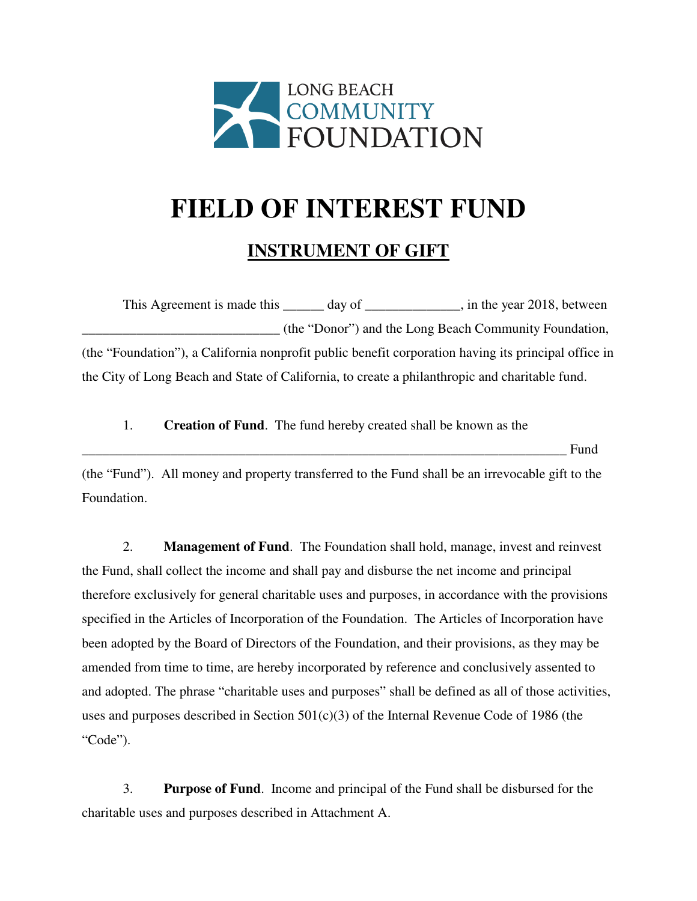

## **FIELD OF INTEREST FUND**

## **INSTRUMENT OF GIFT**

This Agreement is made this \_\_\_\_\_\_ day of \_\_\_\_\_\_\_\_\_\_\_\_, in the year 2018, between \_\_\_\_\_\_\_\_\_\_\_\_\_\_\_\_\_\_\_\_\_\_\_\_\_\_\_\_\_ (the "Donor") and the Long Beach Community Foundation, (the "Foundation"), a California nonprofit public benefit corporation having its principal office in the City of Long Beach and State of California, to create a philanthropic and charitable fund.

1. **Creation of Fund**. The fund hereby created shall be known as the

\_\_\_\_\_\_\_\_\_\_\_\_\_\_\_\_\_\_\_\_\_\_\_\_\_\_\_\_\_\_\_\_\_\_\_\_\_\_\_\_\_\_\_\_\_\_\_\_\_\_\_\_\_\_\_\_\_\_\_\_\_\_\_\_\_\_\_\_\_\_\_ Fund

(the "Fund"). All money and property transferred to the Fund shall be an irrevocable gift to the Foundation.

2. **Management of Fund**. The Foundation shall hold, manage, invest and reinvest the Fund, shall collect the income and shall pay and disburse the net income and principal therefore exclusively for general charitable uses and purposes, in accordance with the provisions specified in the Articles of Incorporation of the Foundation. The Articles of Incorporation have been adopted by the Board of Directors of the Foundation, and their provisions, as they may be amended from time to time, are hereby incorporated by reference and conclusively assented to and adopted. The phrase "charitable uses and purposes" shall be defined as all of those activities, uses and purposes described in Section 501(c)(3) of the Internal Revenue Code of 1986 (the "Code").

3. **Purpose of Fund**. Income and principal of the Fund shall be disbursed for the charitable uses and purposes described in Attachment A.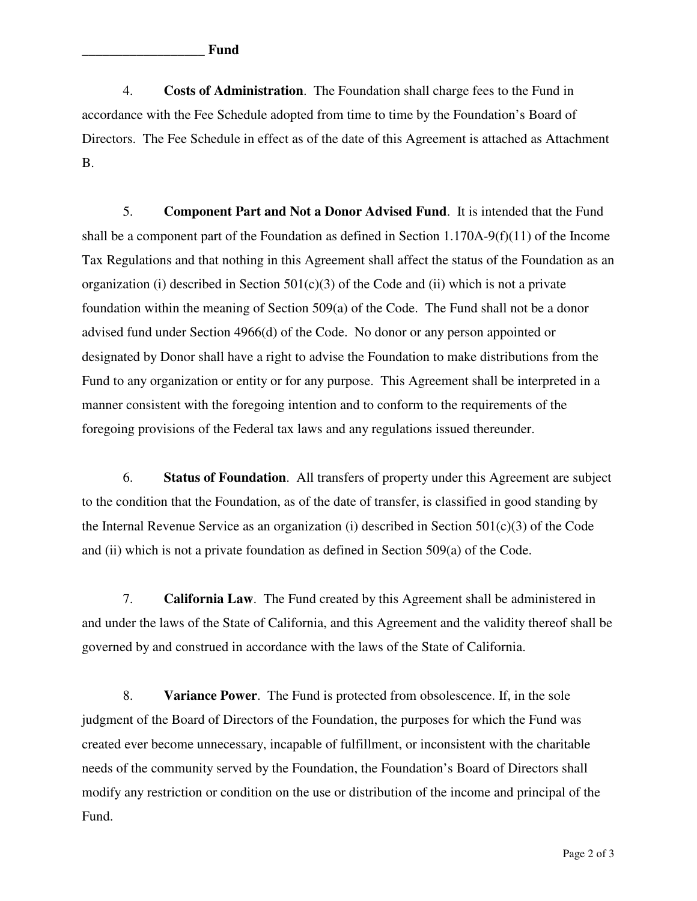4. **Costs of Administration**. The Foundation shall charge fees to the Fund in accordance with the Fee Schedule adopted from time to time by the Foundation's Board of Directors. The Fee Schedule in effect as of the date of this Agreement is attached as Attachment B.

5. **Component Part and Not a Donor Advised Fund**. It is intended that the Fund shall be a component part of the Foundation as defined in Section  $1.170A-9(f)(11)$  of the Income Tax Regulations and that nothing in this Agreement shall affect the status of the Foundation as an organization (i) described in Section  $501(c)(3)$  of the Code and (ii) which is not a private foundation within the meaning of Section 509(a) of the Code. The Fund shall not be a donor advised fund under Section 4966(d) of the Code. No donor or any person appointed or designated by Donor shall have a right to advise the Foundation to make distributions from the Fund to any organization or entity or for any purpose. This Agreement shall be interpreted in a manner consistent with the foregoing intention and to conform to the requirements of the foregoing provisions of the Federal tax laws and any regulations issued thereunder.

6. **Status of Foundation**. All transfers of property under this Agreement are subject to the condition that the Foundation, as of the date of transfer, is classified in good standing by the Internal Revenue Service as an organization (i) described in Section  $501(c)(3)$  of the Code and (ii) which is not a private foundation as defined in Section 509(a) of the Code.

7. **California Law**. The Fund created by this Agreement shall be administered in and under the laws of the State of California, and this Agreement and the validity thereof shall be governed by and construed in accordance with the laws of the State of California.

8. **Variance Power**. The Fund is protected from obsolescence. If, in the sole judgment of the Board of Directors of the Foundation, the purposes for which the Fund was created ever become unnecessary, incapable of fulfillment, or inconsistent with the charitable needs of the community served by the Foundation, the Foundation's Board of Directors shall modify any restriction or condition on the use or distribution of the income and principal of the Fund.